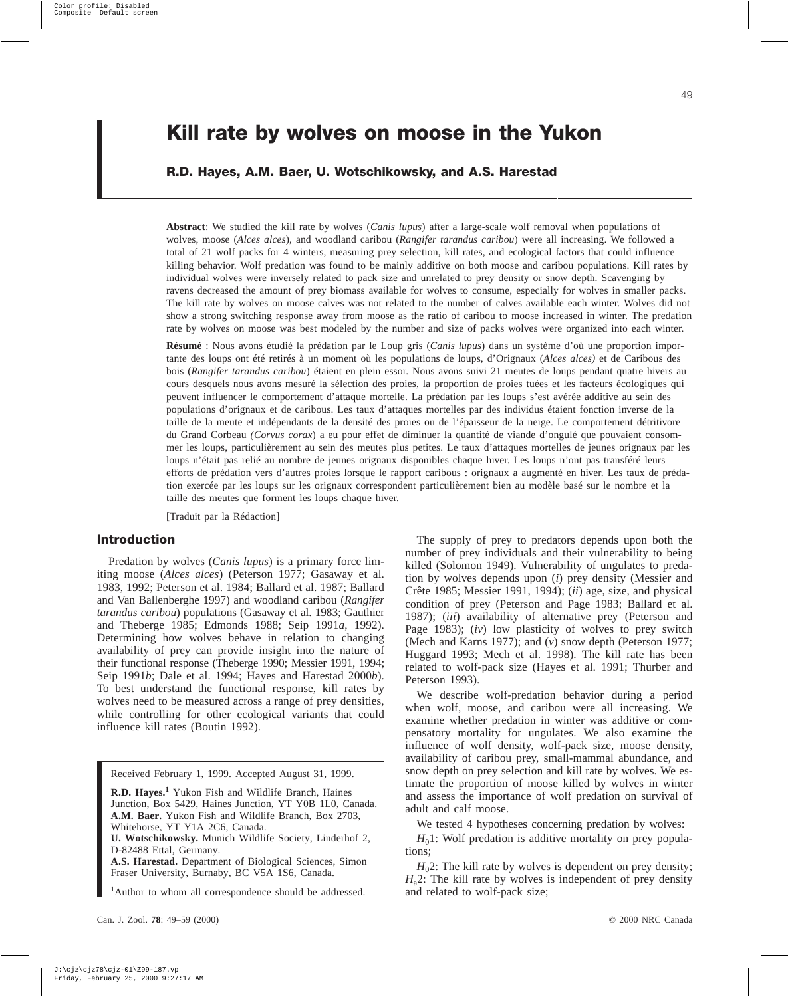# **Kill rate by wolves on moose in the Yukon**

# **R.D. Hayes, A.M. Baer, U. Wotschikowsky, and A.S. Harestad**

**Abstract**: We studied the kill rate by wolves (*Canis lupus*) after a large-scale wolf removal when populations of wolves, moose (*Alces alces*), and woodland caribou (*Rangifer tarandus caribou*) were all increasing. We followed a total of 21 wolf packs for 4 winters, measuring prey selection, kill rates, and ecological factors that could influence killing behavior. Wolf predation was found to be mainly additive on both moose and caribou populations. Kill rates by individual wolves were inversely related to pack size and unrelated to prey density or snow depth. Scavenging by ravens decreased the amount of prey biomass available for wolves to consume, especially for wolves in smaller packs. The kill rate by wolves on moose calves was not related to the number of calves available each winter. Wolves did not show a strong switching response away from moose as the ratio of caribou to moose increased in winter. The predation rate by wolves on moose was best modeled by the number and size of packs wolves were organized into each winter.

**Résumé** : Nous avons étudié la prédation par le Loup gris (*Canis lupus*) dans un système d'où une proportion importante des loups ont été retirés à un moment où les populations de loups, d'Orignaux (*Alces alces)* et de Caribous des bois (*Rangifer tarandus caribou*) étaient en plein essor. Nous avons suivi 21 meutes de loups pendant quatre hivers au cours desquels nous avons mesuré la sélection des proies, la proportion de proies tuées et les facteurs écologiques qui peuvent influencer le comportement d'attaque mortelle. La prédation par les loups s'est avérée additive au sein des populations d'orignaux et de caribous. Les taux d'attaques mortelles par des individus étaient fonction inverse de la taille de la meute et indépendants de la densité des proies ou de l'épaisseur de la neige. Le comportement détritivore du Grand Corbeau *(Corvus corax*) a eu pour effet de diminuer la quantité de viande d'ongulé que pouvaient consommer les loups, particulièrement au sein des meutes plus petites. Le taux d'attaques mortelles de jeunes orignaux par les loups n'était pas relié au nombre de jeunes orignaux disponibles chaque hiver. Les loups n'ont pas transféré leurs efforts de prédation vers d'autres proies lorsque le rapport caribous : orignaux a augmenté en hiver. Les taux de prédation exercée par les loups sur les orignaux correspondent particulièrement bien au modèle basé sur le nombre et la taille des meutes que forment les loups chaque hiver.

[Traduit par la Rédaction]

# **Introduction**

Predation by wolves (*Canis lupus*) is a primary force limiting moose (*Alces alces*) (Peterson 1977; Gasaway et al. 1983, 1992; Peterson et al. 1984; Ballard et al. 1987; Ballard and Van Ballenberghe 1997) and woodland caribou (*Rangifer tarandus caribou*) populations (Gasaway et al. 1983; Gauthier and Theberge 1985; Edmonds 1988; Seip 1991*a*, 1992). Determining how wolves behave in relation to changing availability of prey can provide insight into the nature of their functional response (Theberge 1990; Messier 1991, 1994; Seip 1991*b*; Dale et al. 1994; Hayes and Harestad 2000*b*). To best understand the functional response, kill rates by wolves need to be measured across a range of prey densities, while controlling for other ecological variants that could influence kill rates (Boutin 1992).

Received February 1, 1999. Accepted August 31, 1999.

**R.D. Hayes.<sup>1</sup>** Yukon Fish and Wildlife Branch, Haines Junction, Box 5429, Haines Junction, YT Y0B 1L0, Canada. **A.M. Baer.** Yukon Fish and Wildlife Branch, Box 2703, Whitehorse, YT Y1A 2C6, Canada.

**U. Wotschikowsky.** Munich Wildlife Society, Linderhof 2, D-82488 Ettal, Germany.

**A.S. Harestad.** Department of Biological Sciences, Simon Fraser University, Burnaby, BC V5A 1S6, Canada.

<sup>1</sup>Author to whom all correspondence should be addressed.

The supply of prey to predators depends upon both the number of prey individuals and their vulnerability to being killed (Solomon 1949). Vulnerability of ungulates to predation by wolves depends upon (*i*) prey density (Messier and Crête 1985; Messier 1991, 1994); (*ii*) age, size, and physical condition of prey (Peterson and Page 1983; Ballard et al. 1987); (*iii*) availability of alternative prey (Peterson and Page 1983); (*iv*) low plasticity of wolves to prey switch (Mech and Karns 1977); and (*v*) snow depth (Peterson 1977; Huggard 1993; Mech et al. 1998). The kill rate has been related to wolf-pack size (Hayes et al. 1991; Thurber and Peterson 1993).

We describe wolf-predation behavior during a period when wolf, moose, and caribou were all increasing. We examine whether predation in winter was additive or compensatory mortality for ungulates. We also examine the influence of wolf density, wolf-pack size, moose density, availability of caribou prey, small-mammal abundance, and snow depth on prey selection and kill rate by wolves. We estimate the proportion of moose killed by wolves in winter and assess the importance of wolf predation on survival of adult and calf moose.

We tested 4 hypotheses concerning predation by wolves:

 $H<sub>0</sub>1$ : Wolf predation is additive mortality on prey populations;

 $H<sub>0</sub>2$ : The kill rate by wolves is dependent on prey density;  $H_a$ 2: The kill rate by wolves is independent of prey density and related to wolf-pack size;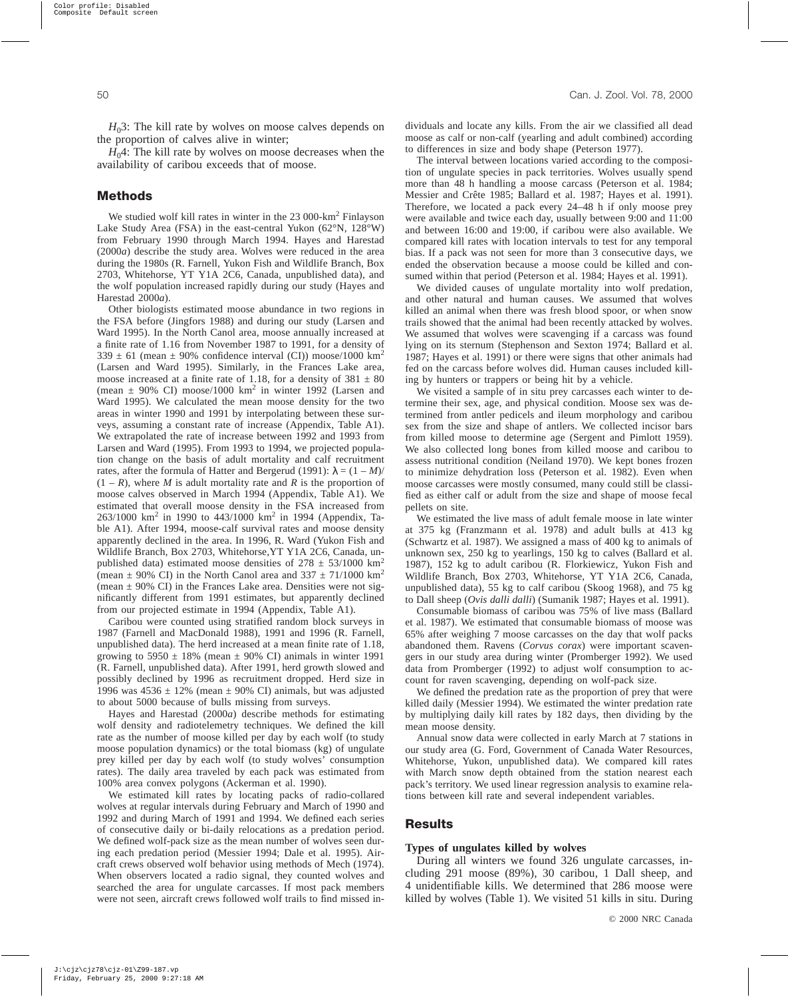$H_0$ 3: The kill rate by wolves on moose calves depends on the proportion of calves alive in winter;

 $H_04$ : The kill rate by wolves on moose decreases when the availability of caribou exceeds that of moose.

# **Methods**

We studied wolf kill rates in winter in the 23 000-km<sup>2</sup> Finlayson Lake Study Area (FSA) in the east-central Yukon (62°N, 128°W) from February 1990 through March 1994. Hayes and Harestad (2000*a*) describe the study area. Wolves were reduced in the area during the 1980s (R. Farnell, Yukon Fish and Wildlife Branch, Box 2703, Whitehorse, YT Y1A 2C6, Canada, unpublished data), and the wolf population increased rapidly during our study (Hayes and Harestad 2000*a*).

Other biologists estimated moose abundance in two regions in the FSA before (Jingfors 1988) and during our study (Larsen and Ward 1995). In the North Canol area, moose annually increased at a finite rate of 1.16 from November 1987 to 1991, for a density of  $339 \pm 61$  (mean  $\pm 90\%$  confidence interval (CI)) moose/1000 km<sup>2</sup> (Larsen and Ward 1995). Similarly, in the Frances Lake area, moose increased at a finite rate of 1.18, for a density of  $381 \pm 80$ (mean  $\pm$  90% CI) moose/1000 km<sup>2</sup> in winter 1992 (Larsen and Ward 1995). We calculated the mean moose density for the two areas in winter 1990 and 1991 by interpolating between these surveys, assuming a constant rate of increase (Appendix, Table A1). We extrapolated the rate of increase between 1992 and 1993 from Larsen and Ward (1995). From 1993 to 1994, we projected population change on the basis of adult mortality and calf recruitment rates, after the formula of Hatter and Bergerud (1991):  $\lambda = (1 - M)/$  $(1 - R)$ , where *M* is adult mortality rate and *R* is the proportion of moose calves observed in March 1994 (Appendix, Table A1). We estimated that overall moose density in the FSA increased from 263/1000 km<sup>2</sup> in 1990 to 443/1000 km<sup>2</sup> in 1994 (Appendix, Table A1). After 1994, moose-calf survival rates and moose density apparently declined in the area. In 1996, R. Ward (Yukon Fish and Wildlife Branch, Box 2703, Whitehorse,YT Y1A 2C6, Canada, unpublished data) estimated moose densities of  $278 \pm 53/1000$  km<sup>2</sup> (mean  $\pm$  90% CI) in the North Canol area and 337  $\pm$  71/1000 km<sup>2</sup> (mean  $\pm$  90% CI) in the Frances Lake area. Densities were not significantly different from 1991 estimates, but apparently declined from our projected estimate in 1994 (Appendix, Table A1).

Caribou were counted using stratified random block surveys in 1987 (Farnell and MacDonald 1988), 1991 and 1996 (R. Farnell, unpublished data). The herd increased at a mean finite rate of 1.18, growing to  $5950 \pm 18\%$  (mean  $\pm 90\%$  CI) animals in winter 1991 (R. Farnell, unpublished data). After 1991, herd growth slowed and possibly declined by 1996 as recruitment dropped. Herd size in 1996 was  $4536 \pm 12\%$  (mean  $\pm$  90% CI) animals, but was adjusted to about 5000 because of bulls missing from surveys.

Hayes and Harestad (2000*a*) describe methods for estimating wolf density and radiotelemetry techniques. We defined the kill rate as the number of moose killed per day by each wolf (to study moose population dynamics) or the total biomass (kg) of ungulate prey killed per day by each wolf (to study wolves' consumption rates). The daily area traveled by each pack was estimated from 100% area convex polygons (Ackerman et al. 1990).

We estimated kill rates by locating packs of radio-collared wolves at regular intervals during February and March of 1990 and 1992 and during March of 1991 and 1994. We defined each series of consecutive daily or bi-daily relocations as a predation period. We defined wolf-pack size as the mean number of wolves seen during each predation period (Messier 1994; Dale et al. 1995). Aircraft crews observed wolf behavior using methods of Mech (1974). When observers located a radio signal, they counted wolves and searched the area for ungulate carcasses. If most pack members were not seen, aircraft crews followed wolf trails to find missed individuals and locate any kills. From the air we classified all dead moose as calf or non-calf (yearling and adult combined) according to differences in size and body shape (Peterson 1977).

The interval between locations varied according to the composition of ungulate species in pack territories. Wolves usually spend more than 48 h handling a moose carcass (Peterson et al. 1984; Messier and Crête 1985; Ballard et al. 1987; Hayes et al. 1991). Therefore, we located a pack every 24–48 h if only moose prey were available and twice each day, usually between 9:00 and 11:00 and between 16:00 and 19:00, if caribou were also available. We compared kill rates with location intervals to test for any temporal bias. If a pack was not seen for more than 3 consecutive days, we ended the observation because a moose could be killed and consumed within that period (Peterson et al. 1984; Hayes et al. 1991).

We divided causes of ungulate mortality into wolf predation, and other natural and human causes. We assumed that wolves killed an animal when there was fresh blood spoor, or when snow trails showed that the animal had been recently attacked by wolves. We assumed that wolves were scavenging if a carcass was found lying on its sternum (Stephenson and Sexton 1974; Ballard et al. 1987; Hayes et al. 1991) or there were signs that other animals had fed on the carcass before wolves did. Human causes included killing by hunters or trappers or being hit by a vehicle.

We visited a sample of in situ prey carcasses each winter to determine their sex, age, and physical condition. Moose sex was determined from antler pedicels and ileum morphology and caribou sex from the size and shape of antlers. We collected incisor bars from killed moose to determine age (Sergent and Pimlott 1959). We also collected long bones from killed moose and caribou to assess nutritional condition (Neiland 1970). We kept bones frozen to minimize dehydration loss (Peterson et al. 1982). Even when moose carcasses were mostly consumed, many could still be classified as either calf or adult from the size and shape of moose fecal pellets on site.

We estimated the live mass of adult female moose in late winter at 375 kg (Franzmann et al. 1978) and adult bulls at 413 kg (Schwartz et al. 1987). We assigned a mass of 400 kg to animals of unknown sex, 250 kg to yearlings, 150 kg to calves (Ballard et al. 1987), 152 kg to adult caribou (R. Florkiewicz, Yukon Fish and Wildlife Branch, Box 2703, Whitehorse, YT Y1A 2C6, Canada, unpublished data), 55 kg to calf caribou (Skoog 1968), and 75 kg to Dall sheep (*Ovis dalli dalli*) (Sumanik 1987; Hayes et al. 1991).

Consumable biomass of caribou was 75% of live mass (Ballard et al. 1987). We estimated that consumable biomass of moose was 65% after weighing 7 moose carcasses on the day that wolf packs abandoned them. Ravens (*Corvus corax*) were important scavengers in our study area during winter (Promberger 1992). We used data from Promberger (1992) to adjust wolf consumption to account for raven scavenging, depending on wolf-pack size.

We defined the predation rate as the proportion of prey that were killed daily (Messier 1994). We estimated the winter predation rate by multiplying daily kill rates by 182 days, then dividing by the mean moose density.

Annual snow data were collected in early March at 7 stations in our study area (G. Ford, Government of Canada Water Resources, Whitehorse, Yukon, unpublished data). We compared kill rates with March snow depth obtained from the station nearest each pack's territory. We used linear regression analysis to examine relations between kill rate and several independent variables.

## **Results**

#### **Types of ungulates killed by wolves**

During all winters we found 326 ungulate carcasses, including 291 moose (89%), 30 caribou, 1 Dall sheep, and 4 unidentifiable kills. We determined that 286 moose were killed by wolves (Table 1). We visited 51 kills in situ. During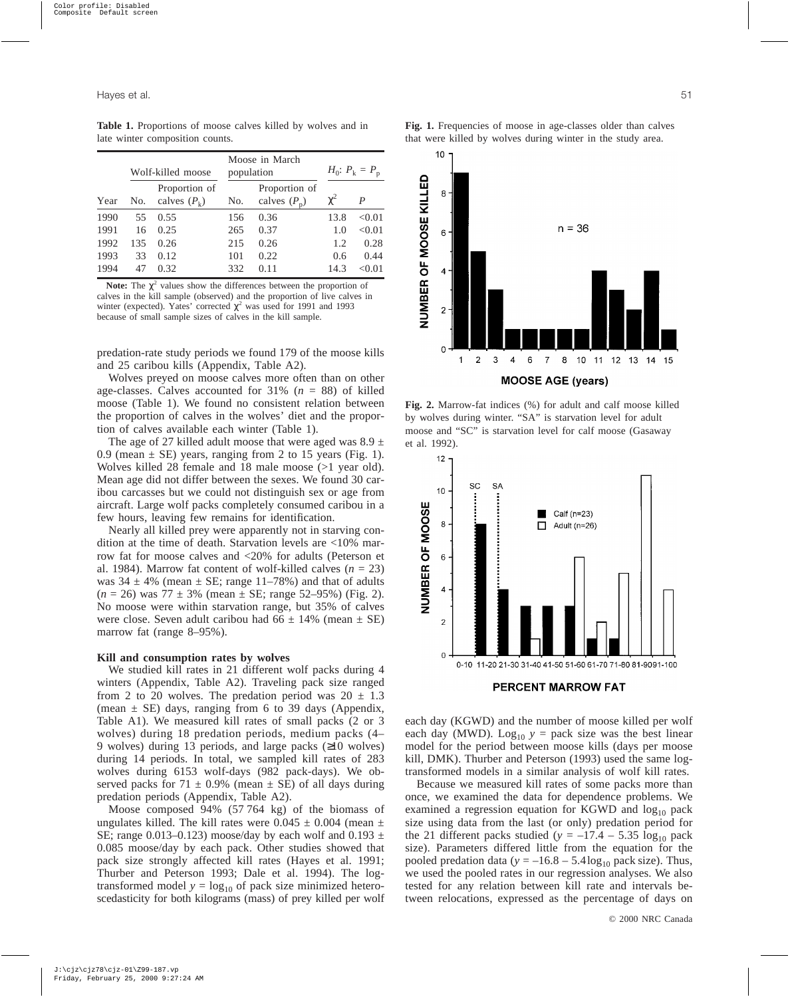**Table 1.** Proportions of moose calves killed by wolves and in late winter composition counts.

|      |     | Wolf-killed moose               |     | Moose in March<br>population    | $H_0: P_k = P_p$ |        |
|------|-----|---------------------------------|-----|---------------------------------|------------------|--------|
| Year | No. | Proportion of<br>calves $(P_k)$ | No. | Proportion of<br>calves $(P_n)$ | $\chi^2$         | P      |
| 1990 | 55  | 0.55                            | 156 | 0.36                            | 13.8             | < 0.01 |
| 1991 | 16  | 0.25                            | 265 | 0.37                            | 1.0              | < 0.01 |
| 1992 | 135 | 0.26                            | 215 | 0.26                            | 1.2              | 0.28   |
| 1993 | 33  | 0.12                            | 101 | 0.22                            | 0.6              | 0.44   |
| 1994 | 47  | 0.32                            | 332 | 0.11                            | 14.3             | < 0.01 |

**Note:** The  $\chi^2$  values show the differences between the proportion of calves in the kill sample (observed) and the proportion of live calves in winter (expected). Yates' corrected  $\chi^2$  was used for 1991 and 1993 because of small sample sizes of calves in the kill sample.

predation-rate study periods we found 179 of the moose kills and 25 caribou kills (Appendix, Table A2).

Wolves preyed on moose calves more often than on other age-classes. Calves accounted for 31% (*n* = 88) of killed moose (Table 1). We found no consistent relation between the proportion of calves in the wolves' diet and the proportion of calves available each winter (Table 1).

The age of 27 killed adult moose that were aged was  $8.9 \pm$ 0.9 (mean  $\pm$  SE) years, ranging from 2 to 15 years (Fig. 1). Wolves killed 28 female and 18 male moose (>1 year old). Mean age did not differ between the sexes. We found 30 caribou carcasses but we could not distinguish sex or age from aircraft. Large wolf packs completely consumed caribou in a few hours, leaving few remains for identification.

Nearly all killed prey were apparently not in starving condition at the time of death. Starvation levels are <10% marrow fat for moose calves and <20% for adults (Peterson et al. 1984). Marrow fat content of wolf-killed calves  $(n = 23)$ was  $34 \pm 4\%$  (mean  $\pm$  SE; range 11–78%) and that of adults (*n* = 26) was 77 ± 3% (mean ± SE; range 52–95%) (Fig. 2). No moose were within starvation range, but 35% of calves were close. Seven adult caribou had  $66 \pm 14\%$  (mean  $\pm$  SE) marrow fat (range 8–95%).

# **Kill and consumption rates by wolves**

We studied kill rates in 21 different wolf packs during 4 winters (Appendix, Table A2). Traveling pack size ranged from 2 to 20 wolves. The predation period was  $20 \pm 1.3$ (mean  $\pm$  SE) days, ranging from 6 to 39 days (Appendix, Table A1). We measured kill rates of small packs (2 or 3 wolves) during 18 predation periods, medium packs (4– 9 wolves) during 13 periods, and large packs (≥10 wolves) during 14 periods. In total, we sampled kill rates of 283 wolves during 6153 wolf-days (982 pack-days). We observed packs for 71  $\pm$  0.9% (mean  $\pm$  SE) of all days during predation periods (Appendix, Table A2).

Moose composed 94% (57 764 kg) of the biomass of ungulates killed. The kill rates were  $0.045 \pm 0.004$  (mean  $\pm$ SE; range 0.013–0.123) moose/day by each wolf and 0.193  $\pm$ 0.085 moose/day by each pack. Other studies showed that pack size strongly affected kill rates (Hayes et al. 1991; Thurber and Peterson 1993; Dale et al. 1994). The logtransformed model  $y = log_{10}$  of pack size minimized heteroscedasticity for both kilograms (mass) of prey killed per wolf





**Fig. 2.** Marrow-fat indices (%) for adult and calf moose killed by wolves during winter. "SA" is starvation level for adult moose and "SC" is starvation level for calf moose (Gasaway et al. 1992).



PERCENT MARROW FAT

each day (KGWD) and the number of moose killed per wolf each day (MWD). Log<sub>10</sub>  $y =$  pack size was the best linear model for the period between moose kills (days per moose kill, DMK). Thurber and Peterson (1993) used the same logtransformed models in a similar analysis of wolf kill rates.

Because we measured kill rates of some packs more than once, we examined the data for dependence problems. We examined a regression equation for KGWD and  $log_{10}$  pack size using data from the last (or only) predation period for the 21 different packs studied  $(y = -17.4 - 5.35 \log_{10} pack$ size). Parameters differed little from the equation for the pooled predation data ( $y = -16.8 - 5.4 \log_{10}$  pack size). Thus, we used the pooled rates in our regression analyses. We also tested for any relation between kill rate and intervals between relocations, expressed as the percentage of days on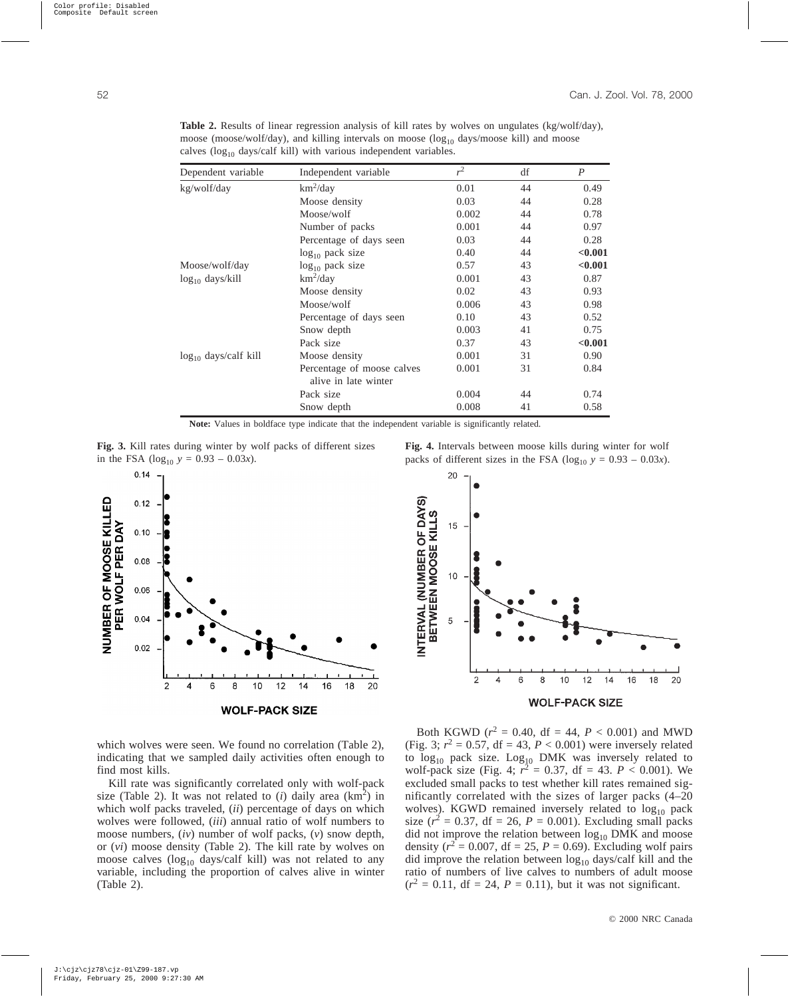| Dependent variable         | Independent variable       |       | df | $\boldsymbol{P}$ |
|----------------------------|----------------------------|-------|----|------------------|
| kg/wolf/day                | $km^2$ /day                | 0.01  | 44 | 0.49             |
|                            | Moose density              | 0.03  | 44 | 0.28             |
|                            | Moose/wolf                 | 0.002 | 44 | 0.78             |
|                            | Number of packs            | 0.001 | 44 | 0.97             |
|                            | Percentage of days seen    | 0.03  | 44 | 0.28             |
|                            | $log_{10}$ pack size       | 0.40  | 44 | < 0.001          |
| Moose/wolf/day             | $log_{10}$ pack size       | 0.57  | 43 | < 0.001          |
| $log_{10}$ days/kill       | $km^2$ /day                | 0.001 | 43 | 0.87             |
|                            | Moose density              | 0.02  | 43 | 0.93             |
|                            | Moose/wolf                 | 0.006 | 43 | 0.98             |
|                            | Percentage of days seen    | 0.10  | 43 | 0.52             |
|                            | Snow depth                 | 0.003 | 41 | 0.75             |
|                            | Pack size                  | 0.37  | 43 | < 0.001          |
| $\log_{10}$ days/calf kill | Moose density              | 0.001 | 31 | 0.90             |
|                            | Percentage of moose calves | 0.001 | 31 | 0.84             |
|                            | alive in late winter       |       |    |                  |
|                            | Pack size                  | 0.004 | 44 | 0.74             |
|                            | Snow depth                 | 0.008 | 41 | 0.58             |

**Table 2.** Results of linear regression analysis of kill rates by wolves on ungulates (kg/wolf/day), moose (moose/wolf/day), and killing intervals on moose ( $log_{10}$  days/moose kill) and moose calves ( $log_{10}$  days/calf kill) with various independent variables.

**Note:** Values in boldface type indicate that the independent variable is significantly related.





which wolves were seen. We found no correlation (Table 2), indicating that we sampled daily activities often enough to find most kills.

Kill rate was significantly correlated only with wolf-pack size (Table 2). It was not related to  $(i)$  daily area  $(km^2)$  in which wolf packs traveled, (*ii*) percentage of days on which wolves were followed, (*iii*) annual ratio of wolf numbers to moose numbers, (*iv*) number of wolf packs, (*v*) snow depth, or (*vi*) moose density (Table 2). The kill rate by wolves on moose calves  $(log_{10}$  days/calf kill) was not related to any variable, including the proportion of calves alive in winter (Table 2).

**Fig. 4.** Intervals between moose kills during winter for wolf packs of different sizes in the FSA ( $log_{10}$   $y = 0.93 - 0.03x$ ).



Both KGWD ( $r^2 = 0.40$ , df = 44,  $P < 0.001$ ) and MWD (Fig. 3;  $r^2 = 0.57$ , df = 43,  $P < 0.001$ ) were inversely related to  $log_{10}$  pack size.  $Log_{10}$  DMK was inversely related to wolf-pack size (Fig. 4;  $r^2 = 0.37$ , df = 43.  $P < 0.001$ ). We excluded small packs to test whether kill rates remained significantly correlated with the sizes of larger packs (4–20 wolves). KGWD remained inversely related to  $log_{10}$  pack size ( $r^2 = 0.37$ , df = 26,  $P = 0.001$ ). Excluding small packs did not improve the relation between  $log_{10}$  DMK and moose density ( $r^2 = 0.007$ , df = 25,  $P = 0.69$ ). Excluding wolf pairs did improve the relation between  $log_{10}$  days/calf kill and the ratio of numbers of live calves to numbers of adult moose  $(r^2 = 0.11, df = 24, P = 0.11)$ , but it was not significant.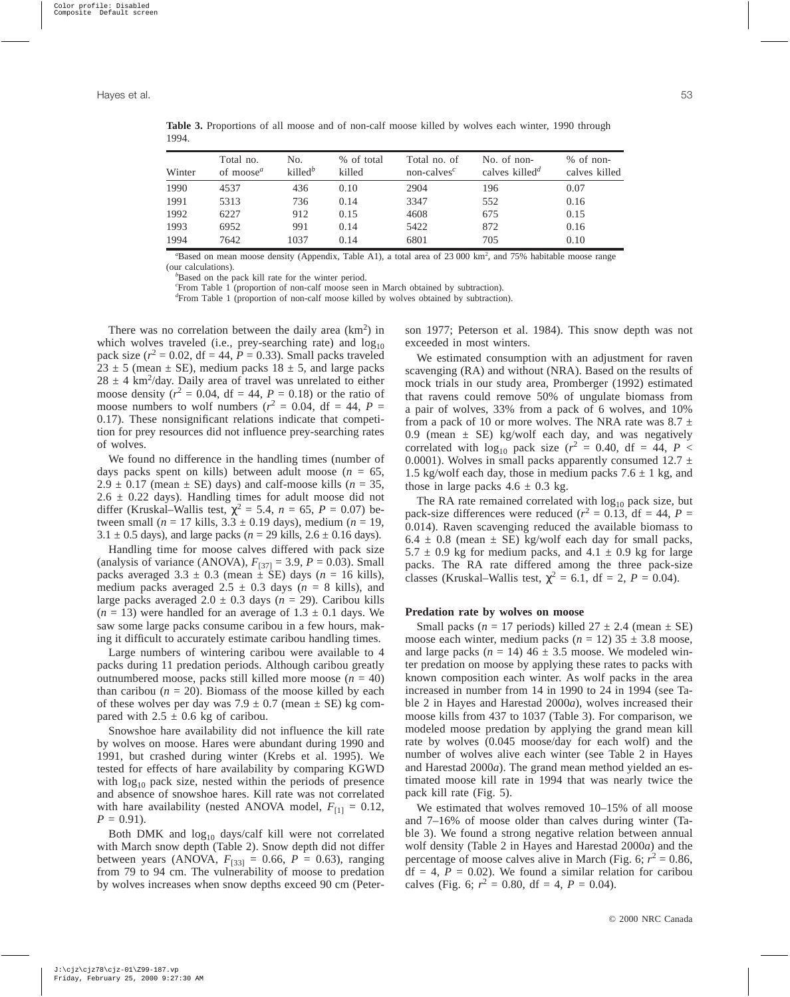| Winter | Total no.<br>of moose <sup><math>a</math></sup> | No.<br>killed $^b$ | % of total<br>killed | Total no. of<br>non-calves <sup><math>c</math></sup> | No. of non-<br>calves killed <sup>d</sup> | $%$ of non-<br>calves killed |
|--------|-------------------------------------------------|--------------------|----------------------|------------------------------------------------------|-------------------------------------------|------------------------------|
| 1990   | 4537                                            | 436                | 0.10                 | 2904                                                 | 196                                       | 0.07                         |
| 1991   | 5313                                            | 736                | 0.14                 | 3347                                                 | 552                                       | 0.16                         |
| 1992   | 6227                                            | 912                | 0.15                 | 4608                                                 | 675                                       | 0.15                         |
| 1993   | 6952                                            | 991                | 0.14                 | 5422                                                 | 872                                       | 0.16                         |
| 1994   | 7642                                            | 1037               | 0.14                 | 6801                                                 | 705                                       | 0.10                         |

**Table 3.** Proportions of all moose and of non-calf moose killed by wolves each winter, 1990 through 1994.

<sup>a</sup>Based on mean moose density (Appendix, Table A1), a total area of 23 000 km<sup>2</sup>, and 75% habitable moose range (our calculations).

*b* Based on the pack kill rate for the winter period.

*c* From Table 1 (proportion of non-calf moose seen in March obtained by subtraction).

*d* From Table 1 (proportion of non-calf moose killed by wolves obtained by subtraction).

There was no correlation between the daily area  $(km^2)$  in which wolves traveled (i.e., prey-searching rate) and  $log_{10}$ pack size  $(r^2 = 0.02$ , df = 44,  $P = 0.33$ ). Small packs traveled  $23 \pm 5$  (mean  $\pm$  SE), medium packs  $18 \pm 5$ , and large packs  $28 \pm 4$  km<sup>2</sup>/day. Daily area of travel was unrelated to either moose density  $(r^2 = 0.04$ , df = 44,  $P = 0.18$ ) or the ratio of moose numbers to wolf numbers ( $r^2 = 0.04$ , df = 44, P = 0.17). These nonsignificant relations indicate that competition for prey resources did not influence prey-searching rates of wolves.

We found no difference in the handling times (number of days packs spent on kills) between adult moose  $(n = 65,$  $2.9 \pm 0.17$  (mean  $\pm$  SE) days) and calf-moose kills ( $n = 35$ ,  $2.6 \pm 0.22$  days). Handling times for adult moose did not differ (Kruskal–Wallis test,  $\chi^2 = 5.4$ ,  $n = 65$ ,  $P = 0.07$ ) between small ( $n = 17$  kills,  $3.3 \pm 0.19$  days), medium ( $n = 19$ , 3.1  $\pm$  0.5 days), and large packs ( $n = 29$  kills, 2.6  $\pm$  0.16 days).

Handling time for moose calves differed with pack size (analysis of variance (ANOVA),  $F_{[37]} = 3.9$ ,  $P = 0.03$ ). Small packs averaged  $3.3 \pm 0.3$  (mean  $\pm$  SE) days (*n* = 16 kills), medium packs averaged  $2.5 \pm 0.3$  days ( $n = 8$  kills), and large packs averaged  $2.0 \pm 0.3$  days ( $n = 29$ ). Caribou kills  $(n = 13)$  were handled for an average of  $1.3 \pm 0.1$  days. We saw some large packs consume caribou in a few hours, making it difficult to accurately estimate caribou handling times.

Large numbers of wintering caribou were available to 4 packs during 11 predation periods. Although caribou greatly outnumbered moose, packs still killed more moose  $(n = 40)$ than caribou  $(n = 20)$ . Biomass of the moose killed by each of these wolves per day was  $7.9 \pm 0.7$  (mean  $\pm$  SE) kg compared with  $2.5 \pm 0.6$  kg of caribou.

Snowshoe hare availability did not influence the kill rate by wolves on moose. Hares were abundant during 1990 and 1991, but crashed during winter (Krebs et al. 1995). We tested for effects of hare availability by comparing KGWD with  $log_{10}$  pack size, nested within the periods of presence and absence of snowshoe hares. Kill rate was not correlated with hare availability (nested ANOVA model,  $F_{[1]} = 0.12$ ,  $P = 0.91$ .

Both DMK and  $log_{10}$  days/calf kill were not correlated with March snow depth (Table 2). Snow depth did not differ between years (ANOVA,  $F_{[33]} = 0.66$ ,  $P = 0.63$ ), ranging from 79 to 94 cm. The vulnerability of moose to predation by wolves increases when snow depths exceed 90 cm (Peterson 1977; Peterson et al. 1984). This snow depth was not exceeded in most winters.

We estimated consumption with an adjustment for raven scavenging (RA) and without (NRA). Based on the results of mock trials in our study area, Promberger (1992) estimated that ravens could remove 50% of ungulate biomass from a pair of wolves, 33% from a pack of 6 wolves, and 10% from a pack of 10 or more wolves. The NRA rate was  $8.7 \pm$ 0.9 (mean  $\pm$  SE) kg/wolf each day, and was negatively correlated with  $\log_{10}$  pack size ( $r^2 = 0.40$ , df = 44, P < 0.0001). Wolves in small packs apparently consumed  $12.7 \pm$ 1.5 kg/wolf each day, those in medium packs  $7.6 \pm 1$  kg, and those in large packs  $4.6 \pm 0.3$  kg.

The RA rate remained correlated with  $log_{10}$  pack size, but pack-size differences were reduced ( $r^2 = 0.13$ , df = 44, P = 0.014). Raven scavenging reduced the available biomass to  $6.4 \pm 0.8$  (mean  $\pm$  SE) kg/wolf each day for small packs,  $5.7 \pm 0.9$  kg for medium packs, and  $4.1 \pm 0.9$  kg for large packs. The RA rate differed among the three pack-size classes (Kruskal–Wallis test,  $\chi^2 = 6.1$ , df = 2, P = 0.04).

## **Predation rate by wolves on moose**

Small packs ( $n = 17$  periods) killed  $27 \pm 2.4$  (mean  $\pm$  SE) moose each winter, medium packs ( $n = 12$ ) 35  $\pm$  3.8 moose, and large packs  $(n = 14)$  46  $\pm$  3.5 moose. We modeled winter predation on moose by applying these rates to packs with known composition each winter. As wolf packs in the area increased in number from 14 in 1990 to 24 in 1994 (see Table 2 in Hayes and Harestad 2000*a*), wolves increased their moose kills from 437 to 1037 (Table 3). For comparison, we modeled moose predation by applying the grand mean kill rate by wolves (0.045 moose/day for each wolf) and the number of wolves alive each winter (see Table 2 in Hayes and Harestad 2000*a*). The grand mean method yielded an estimated moose kill rate in 1994 that was nearly twice the pack kill rate (Fig. 5).

We estimated that wolves removed 10–15% of all moose and 7–16% of moose older than calves during winter (Table 3). We found a strong negative relation between annual wolf density (Table 2 in Hayes and Harestad 2000*a*) and the percentage of moose calves alive in March (Fig. 6;  $r^2 = 0.86$ ,  $df = 4$ ,  $P = 0.02$ ). We found a similar relation for caribou calves (Fig. 6;  $r^2 = 0.80$ , df = 4,  $P = 0.04$ ).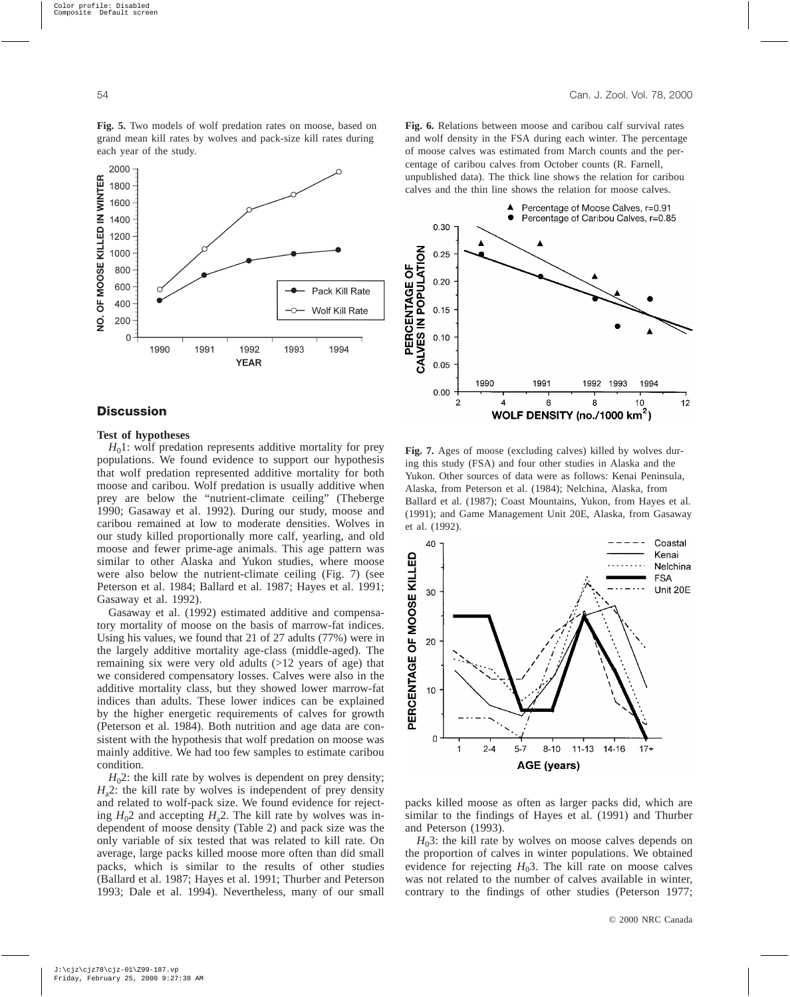**Fig. 5.** Two models of wolf predation rates on moose, based on grand mean kill rates by wolves and pack-size kill rates during each year of the study.



# **Discussion**

#### **Test of hypotheses**

 $H<sub>0</sub>$ 1: wolf predation represents additive mortality for prey populations. We found evidence to support our hypothesis that wolf predation represented additive mortality for both moose and caribou. Wolf predation is usually additive when prey are below the "nutrient-climate ceiling" (Theberge 1990; Gasaway et al. 1992). During our study, moose and caribou remained at low to moderate densities. Wolves in our study killed proportionally more calf, yearling, and old moose and fewer prime-age animals. This age pattern was similar to other Alaska and Yukon studies, where moose were also below the nutrient-climate ceiling (Fig. 7) (see Peterson et al. 1984; Ballard et al. 1987; Hayes et al. 1991; Gasaway et al. 1992).

Gasaway et al. (1992) estimated additive and compensatory mortality of moose on the basis of marrow-fat indices. Using his values, we found that 21 of 27 adults (77%) were in the largely additive mortality age-class (middle-aged). The remaining six were very old adults (>12 years of age) that we considered compensatory losses. Calves were also in the additive mortality class, but they showed lower marrow-fat indices than adults. These lower indices can be explained by the higher energetic requirements of calves for growth (Peterson et al. 1984). Both nutrition and age data are consistent with the hypothesis that wolf predation on moose was mainly additive. We had too few samples to estimate caribou condition.

 $H<sub>0</sub>2$ : the kill rate by wolves is dependent on prey density;  $H_a$ 2: the kill rate by wolves is independent of prey density and related to wolf-pack size. We found evidence for rejecting  $H_0$ 2 and accepting  $H_a$ 2. The kill rate by wolves was independent of moose density (Table 2) and pack size was the only variable of six tested that was related to kill rate. On average, large packs killed moose more often than did small packs, which is similar to the results of other studies (Ballard et al. 1987; Hayes et al. 1991; Thurber and Peterson 1993; Dale et al. 1994). Nevertheless, many of our small **Fig. 6.** Relations between moose and caribou calf survival rates and wolf density in the FSA during each winter. The percentage of moose calves was estimated from March counts and the percentage of caribou calves from October counts (R. Farnell, unpublished data). The thick line shows the relation for caribou calves and the thin line shows the relation for moose calves.



**Fig. 7.** Ages of moose (excluding calves) killed by wolves during this study (FSA) and four other studies in Alaska and the Yukon. Other sources of data were as follows: Kenai Peninsula, Alaska, from Peterson et al. (1984); Nelchina, Alaska, from Ballard et al. (1987); Coast Mountains, Yukon, from Hayes et al. (1991); and Game Management Unit 20E, Alaska, from Gasaway et al. (1992).



packs killed moose as often as larger packs did, which are similar to the findings of Hayes et al. (1991) and Thurber and Peterson (1993).

 $H<sub>0</sub>3$ : the kill rate by wolves on moose calves depends on the proportion of calves in winter populations. We obtained evidence for rejecting  $H_0$ 3. The kill rate on moose calves was not related to the number of calves available in winter, contrary to the findings of other studies (Peterson 1977;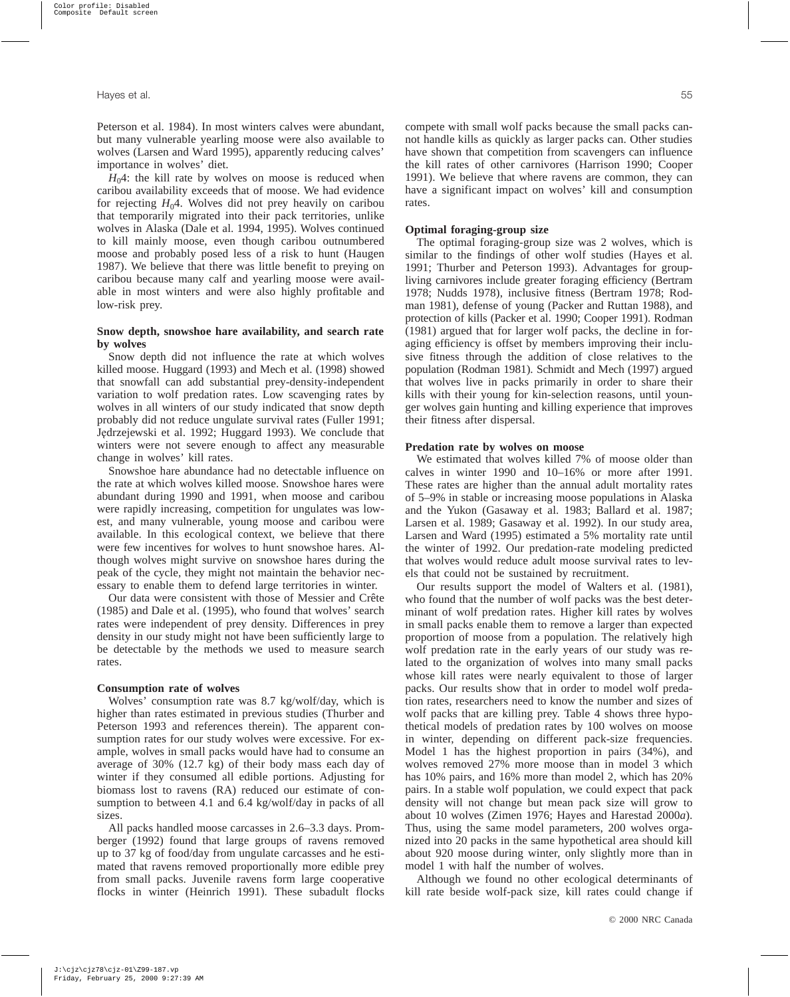Peterson et al. 1984). In most winters calves were abundant, but many vulnerable yearling moose were also available to wolves (Larsen and Ward 1995), apparently reducing calves' importance in wolves' diet.

 $H_0$ 4: the kill rate by wolves on moose is reduced when caribou availability exceeds that of moose. We had evidence for rejecting  $H_0$ 4. Wolves did not prey heavily on caribou that temporarily migrated into their pack territories, unlike wolves in Alaska (Dale et al. 1994, 1995). Wolves continued to kill mainly moose, even though caribou outnumbered moose and probably posed less of a risk to hunt (Haugen 1987). We believe that there was little benefit to preying on caribou because many calf and yearling moose were available in most winters and were also highly profitable and low-risk prey.

# **Snow depth, snowshoe hare availability, and search rate by wolves**

Snow depth did not influence the rate at which wolves killed moose. Huggard (1993) and Mech et al. (1998) showed that snowfall can add substantial prey-density-independent variation to wolf predation rates. Low scavenging rates by wolves in all winters of our study indicated that snow depth probably did not reduce ungulate survival rates (Fuller 1991; Jędrzejewski et al. 1992; Huggard 1993). We conclude that winters were not severe enough to affect any measurable change in wolves' kill rates.

Snowshoe hare abundance had no detectable influence on the rate at which wolves killed moose. Snowshoe hares were abundant during 1990 and 1991, when moose and caribou were rapidly increasing, competition for ungulates was lowest, and many vulnerable, young moose and caribou were available. In this ecological context, we believe that there were few incentives for wolves to hunt snowshoe hares. Although wolves might survive on snowshoe hares during the peak of the cycle, they might not maintain the behavior necessary to enable them to defend large territories in winter.

Our data were consistent with those of Messier and Crête (1985) and Dale et al. (1995), who found that wolves' search rates were independent of prey density. Differences in prey density in our study might not have been sufficiently large to be detectable by the methods we used to measure search rates.

#### **Consumption rate of wolves**

Wolves' consumption rate was 8.7 kg/wolf/day, which is higher than rates estimated in previous studies (Thurber and Peterson 1993 and references therein). The apparent consumption rates for our study wolves were excessive. For example, wolves in small packs would have had to consume an average of 30% (12.7 kg) of their body mass each day of winter if they consumed all edible portions. Adjusting for biomass lost to ravens (RA) reduced our estimate of consumption to between 4.1 and 6.4 kg/wolf/day in packs of all sizes.

All packs handled moose carcasses in 2.6–3.3 days. Promberger (1992) found that large groups of ravens removed up to 37 kg of food/day from ungulate carcasses and he estimated that ravens removed proportionally more edible prey from small packs. Juvenile ravens form large cooperative flocks in winter (Heinrich 1991). These subadult flocks compete with small wolf packs because the small packs cannot handle kills as quickly as larger packs can. Other studies have shown that competition from scavengers can influence the kill rates of other carnivores (Harrison 1990; Cooper 1991). We believe that where ravens are common, they can have a significant impact on wolves' kill and consumption rates.

#### **Optimal foraging-group size**

The optimal foraging-group size was 2 wolves, which is similar to the findings of other wolf studies (Hayes et al. 1991; Thurber and Peterson 1993). Advantages for groupliving carnivores include greater foraging efficiency (Bertram 1978; Nudds 1978), inclusive fitness (Bertram 1978; Rodman 1981), defense of young (Packer and Ruttan 1988), and protection of kills (Packer et al. 1990; Cooper 1991). Rodman (1981) argued that for larger wolf packs, the decline in foraging efficiency is offset by members improving their inclusive fitness through the addition of close relatives to the population (Rodman 1981). Schmidt and Mech (1997) argued that wolves live in packs primarily in order to share their kills with their young for kin-selection reasons, until younger wolves gain hunting and killing experience that improves their fitness after dispersal.

#### **Predation rate by wolves on moose**

We estimated that wolves killed 7% of moose older than calves in winter 1990 and 10–16% or more after 1991. These rates are higher than the annual adult mortality rates of 5–9% in stable or increasing moose populations in Alaska and the Yukon (Gasaway et al. 1983; Ballard et al. 1987; Larsen et al. 1989; Gasaway et al. 1992). In our study area, Larsen and Ward (1995) estimated a 5% mortality rate until the winter of 1992. Our predation-rate modeling predicted that wolves would reduce adult moose survival rates to levels that could not be sustained by recruitment.

Our results support the model of Walters et al. (1981), who found that the number of wolf packs was the best determinant of wolf predation rates. Higher kill rates by wolves in small packs enable them to remove a larger than expected proportion of moose from a population. The relatively high wolf predation rate in the early years of our study was related to the organization of wolves into many small packs whose kill rates were nearly equivalent to those of larger packs. Our results show that in order to model wolf predation rates, researchers need to know the number and sizes of wolf packs that are killing prey. Table 4 shows three hypothetical models of predation rates by 100 wolves on moose in winter, depending on different pack-size frequencies. Model 1 has the highest proportion in pairs (34%), and wolves removed 27% more moose than in model 3 which has 10% pairs, and 16% more than model 2, which has 20% pairs. In a stable wolf population, we could expect that pack density will not change but mean pack size will grow to about 10 wolves (Zimen 1976; Hayes and Harestad 2000*a*). Thus, using the same model parameters, 200 wolves organized into 20 packs in the same hypothetical area should kill about 920 moose during winter, only slightly more than in model 1 with half the number of wolves.

Although we found no other ecological determinants of kill rate beside wolf-pack size, kill rates could change if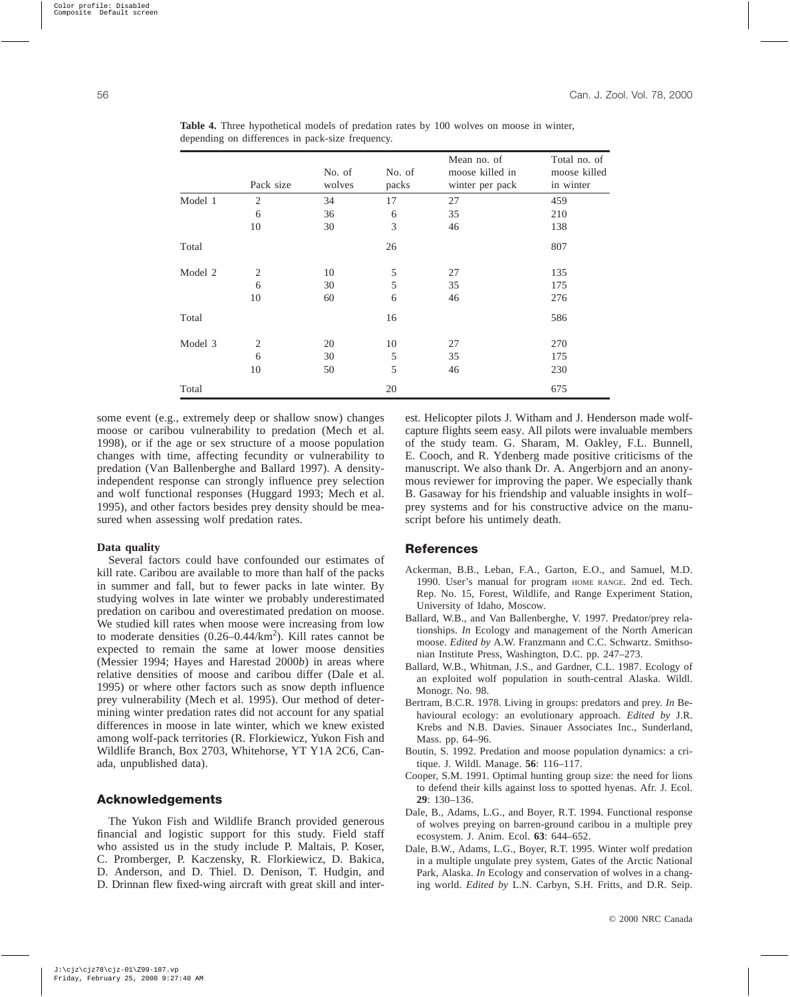|         | Pack size      | No. of<br>wolves | No. of<br>packs | Mean no. of<br>moose killed in<br>winter per pack | Total no. of<br>moose killed<br>in winter |
|---------|----------------|------------------|-----------------|---------------------------------------------------|-------------------------------------------|
| Model 1 | $\mathfrak{2}$ | 34               | 17              | 27                                                | 459                                       |
|         | 6              | 36               | 6               | 35                                                | 210                                       |
|         | 10             | 30               | 3               | 46                                                | 138                                       |
| Total   |                |                  | 26              |                                                   | 807                                       |
| Model 2 | $\overline{2}$ | 10               | 5               | 27                                                | 135                                       |
|         | 6              | 30               | 5               | 35                                                | 175                                       |
|         | 10             | 60               | 6               | 46                                                | 276                                       |
| Total   |                |                  | 16              |                                                   | 586                                       |
| Model 3 | $\overline{2}$ | 20               | 10              | 27                                                | 270                                       |
|         | 6              | 30               | 5               | 35                                                | 175                                       |
|         | 10             | 50               | 5               | 46                                                | 230                                       |
| Total   |                |                  | 20              |                                                   | 675                                       |

**Table 4.** Three hypothetical models of predation rates by 100 wolves on moose in winter, depending on differences in pack-size frequency.

some event (e.g., extremely deep or shallow snow) changes moose or caribou vulnerability to predation (Mech et al. 1998), or if the age or sex structure of a moose population changes with time, affecting fecundity or vulnerability to predation (Van Ballenberghe and Ballard 1997). A densityindependent response can strongly influence prey selection and wolf functional responses (Huggard 1993; Mech et al. 1995), and other factors besides prey density should be measured when assessing wolf predation rates.

## **Data quality**

Several factors could have confounded our estimates of kill rate. Caribou are available to more than half of the packs in summer and fall, but to fewer packs in late winter. By studying wolves in late winter we probably underestimated predation on caribou and overestimated predation on moose. We studied kill rates when moose were increasing from low to moderate densities  $(0.26 - 0.44/\text{km}^2)$ . Kill rates cannot be expected to remain the same at lower moose densities (Messier 1994; Hayes and Harestad 2000*b*) in areas where relative densities of moose and caribou differ (Dale et al. 1995) or where other factors such as snow depth influence prey vulnerability (Mech et al. 1995). Our method of determining winter predation rates did not account for any spatial differences in moose in late winter, which we knew existed among wolf-pack territories (R. Florkiewicz, Yukon Fish and Wildlife Branch, Box 2703, Whitehorse, YT Y1A 2C6, Canada, unpublished data).

## **Acknowledgements**

The Yukon Fish and Wildlife Branch provided generous financial and logistic support for this study. Field staff who assisted us in the study include P. Maltais, P. Koser, C. Promberger, P. Kaczensky, R. Florkiewicz, D. Bakica, D. Anderson, and D. Thiel. D. Denison, T. Hudgin, and D. Drinnan flew fixed-wing aircraft with great skill and interest. Helicopter pilots J. Witham and J. Henderson made wolfcapture flights seem easy. All pilots were invaluable members of the study team. G. Sharam, M. Oakley, F.L. Bunnell, E. Cooch, and R. Ydenberg made positive criticisms of the manuscript. We also thank Dr. A. Angerbjorn and an anonymous reviewer for improving the paper. We especially thank B. Gasaway for his friendship and valuable insights in wolf– prey systems and for his constructive advice on the manuscript before his untimely death.

# **References**

- Ackerman, B.B., Leban, F.A., Garton, E.O., and Samuel, M.D. 1990. User's manual for program HOME RANGE. 2nd ed. Tech. Rep. No. 15, Forest, Wildlife, and Range Experiment Station, University of Idaho, Moscow.
- Ballard, W.B., and Van Ballenberghe, V. 1997. Predator/prey relationships. *In* Ecology and management of the North American moose. *Edited by* A.W. Franzmann and C.C. Schwartz. Smithsonian Institute Press, Washington, D.C. pp. 247–273.
- Ballard, W.B., Whitman, J.S., and Gardner, C.L. 1987. Ecology of an exploited wolf population in south-central Alaska. Wildl. Monogr. No. 98.
- Bertram, B.C.R. 1978. Living in groups: predators and prey. *In* Behavioural ecology: an evolutionary approach. *Edited by* J.R. Krebs and N.B. Davies. Sinauer Associates Inc., Sunderland, Mass. pp. 64–96.
- Boutin, S. 1992. Predation and moose population dynamics: a critique. J. Wildl. Manage. **56**: 116–117.
- Cooper, S.M. 1991. Optimal hunting group size: the need for lions to defend their kills against loss to spotted hyenas. Afr. J. Ecol. **29**: 130–136.
- Dale, B., Adams, L.G., and Boyer, R.T. 1994. Functional response of wolves preying on barren-ground caribou in a multiple prey ecosystem. J. Anim. Ecol. **63**: 644–652.
- Dale, B.W., Adams, L.G., Boyer, R.T. 1995. Winter wolf predation in a multiple ungulate prey system, Gates of the Arctic National Park, Alaska. *In* Ecology and conservation of wolves in a changing world. *Edited by* L.N. Carbyn, S.H. Fritts, and D.R. Seip.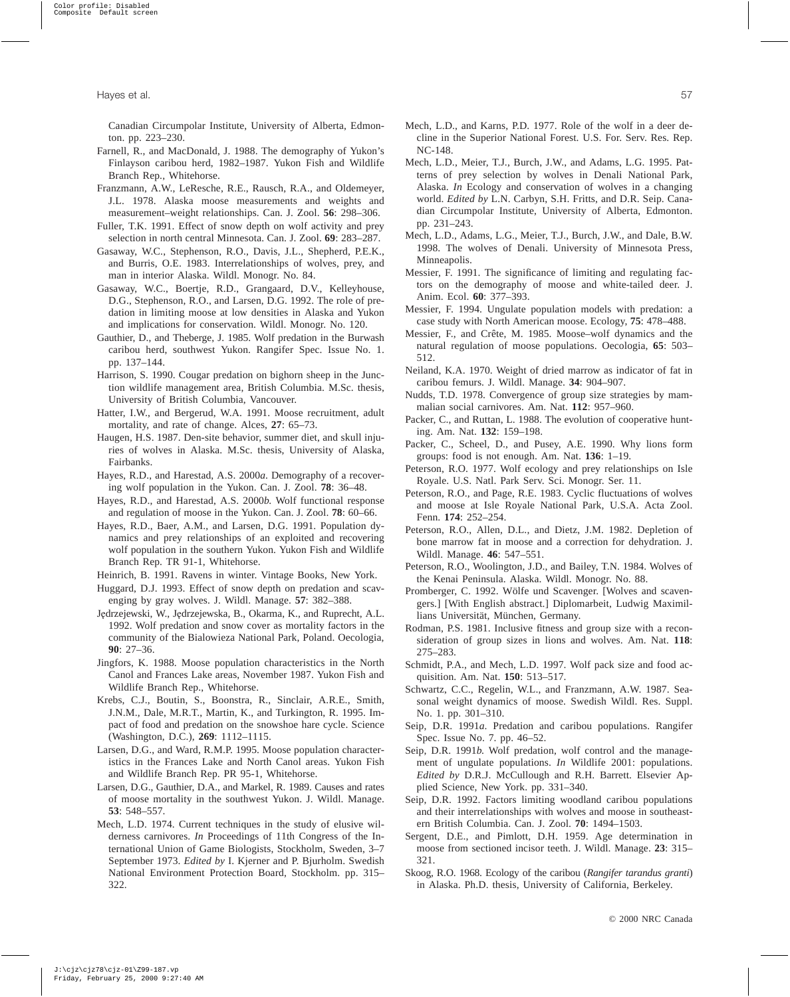Canadian Circumpolar Institute, University of Alberta, Edmonton. pp. 223–230.

- Farnell, R., and MacDonald, J. 1988. The demography of Yukon's Finlayson caribou herd, 1982–1987. Yukon Fish and Wildlife Branch Rep., Whitehorse.
- Franzmann, A.W., LeResche, R.E., Rausch, R.A., and Oldemeyer, J.L. 1978. Alaska moose measurements and weights and measurement–weight relationships. Can. J. Zool. **56**: 298–306.
- Fuller, T.K. 1991. Effect of snow depth on wolf activity and prey selection in north central Minnesota. Can. J. Zool. **69**: 283–287.
- Gasaway, W.C., Stephenson, R.O., Davis, J.L., Shepherd, P.E.K., and Burris, O.E. 1983. Interrelationships of wolves, prey, and man in interior Alaska. Wildl. Monogr. No. 84.
- Gasaway, W.C., Boertje, R.D., Grangaard, D.V., Kelleyhouse, D.G., Stephenson, R.O., and Larsen, D.G. 1992. The role of predation in limiting moose at low densities in Alaska and Yukon and implications for conservation. Wildl. Monogr. No. 120.
- Gauthier, D., and Theberge, J. 1985. Wolf predation in the Burwash caribou herd, southwest Yukon. Rangifer Spec. Issue No. 1. pp. 137–144.
- Harrison, S. 1990. Cougar predation on bighorn sheep in the Junction wildlife management area, British Columbia. M.Sc. thesis, University of British Columbia, Vancouver.
- Hatter, I.W., and Bergerud, W.A. 1991. Moose recruitment, adult mortality, and rate of change. Alces, **27**: 65–73.
- Haugen, H.S. 1987. Den-site behavior, summer diet, and skull injuries of wolves in Alaska. M.Sc. thesis, University of Alaska, Fairbanks.
- Hayes, R.D., and Harestad, A.S. 2000*a*. Demography of a recovering wolf population in the Yukon. Can. J. Zool. **78**: 36–48.
- Hayes, R.D., and Harestad, A.S. 2000*b*. Wolf functional response and regulation of moose in the Yukon. Can. J. Zool. **78**: 60–66.
- Hayes, R.D., Baer, A.M., and Larsen, D.G. 1991. Population dynamics and prey relationships of an exploited and recovering wolf population in the southern Yukon. Yukon Fish and Wildlife Branch Rep. TR 91-1, Whitehorse.
- Heinrich, B. 1991. Ravens in winter. Vintage Books, New York.
- Huggard, D.J. 1993. Effect of snow depth on predation and scavenging by gray wolves. J. Wildl. Manage. **57**: 382–388.
- Jędrzejewski, W., Jędrzejewska, B., Okarma, K., and Ruprecht, A.L. 1992. Wolf predation and snow cover as mortality factors in the community of the Bialowieza National Park, Poland. Oecologia, **90**: 27–36.
- Jingfors, K. 1988. Moose population characteristics in the North Canol and Frances Lake areas, November 1987. Yukon Fish and Wildlife Branch Rep., Whitehorse.
- Krebs, C.J., Boutin, S., Boonstra, R., Sinclair, A.R.E., Smith, J.N.M., Dale, M.R.T., Martin, K., and Turkington, R. 1995. Impact of food and predation on the snowshoe hare cycle. Science (Washington, D.C.), **269**: 1112–1115.
- Larsen, D.G., and Ward, R.M.P. 1995. Moose population characteristics in the Frances Lake and North Canol areas. Yukon Fish and Wildlife Branch Rep. PR 95-1, Whitehorse.
- Larsen, D.G., Gauthier, D.A., and Markel, R. 1989. Causes and rates of moose mortality in the southwest Yukon. J. Wildl. Manage. **53**: 548–557.
- Mech, L.D. 1974. Current techniques in the study of elusive wilderness carnivores. *In* Proceedings of 11th Congress of the International Union of Game Biologists, Stockholm, Sweden, 3–7 September 1973. *Edited by* I. Kjerner and P. Bjurholm. Swedish National Environment Protection Board, Stockholm. pp. 315– 322.
- Mech, L.D., and Karns, P.D. 1977. Role of the wolf in a deer decline in the Superior National Forest. U.S. For. Serv. Res. Rep. NC-148.
- Mech, L.D., Meier, T.J., Burch, J.W., and Adams, L.G. 1995. Patterns of prey selection by wolves in Denali National Park, Alaska. *In* Ecology and conservation of wolves in a changing world. *Edited by* L.N. Carbyn, S.H. Fritts, and D.R. Seip. Canadian Circumpolar Institute, University of Alberta, Edmonton. pp. 231–243.
- Mech, L.D., Adams, L.G., Meier, T.J., Burch, J.W., and Dale, B.W. 1998. The wolves of Denali. University of Minnesota Press, Minneapolis.
- Messier, F. 1991. The significance of limiting and regulating factors on the demography of moose and white-tailed deer. J. Anim. Ecol. **60**: 377–393.
- Messier, F. 1994. Ungulate population models with predation: a case study with North American moose. Ecology, **75**: 478–488.
- Messier, F., and Crête, M. 1985. Moose–wolf dynamics and the natural regulation of moose populations. Oecologia, **65**: 503– 512.
- Neiland, K.A. 1970. Weight of dried marrow as indicator of fat in caribou femurs. J. Wildl. Manage. **34**: 904–907.
- Nudds, T.D. 1978. Convergence of group size strategies by mammalian social carnivores. Am. Nat. **112**: 957–960.
- Packer, C., and Ruttan, L. 1988. The evolution of cooperative hunting. Am. Nat. **132**: 159–198.
- Packer, C., Scheel, D., and Pusey, A.E. 1990. Why lions form groups: food is not enough. Am. Nat. **136**: 1–19.
- Peterson, R.O. 1977. Wolf ecology and prey relationships on Isle Royale. U.S. Natl. Park Serv. Sci. Monogr. Ser. 11.
- Peterson, R.O., and Page, R.E. 1983. Cyclic fluctuations of wolves and moose at Isle Royale National Park, U.S.A. Acta Zool. Fenn. **174**: 252–254.
- Peterson, R.O., Allen, D.L., and Dietz, J.M. 1982. Depletion of bone marrow fat in moose and a correction for dehydration. J. Wildl. Manage. **46**: 547–551.
- Peterson, R.O., Woolington, J.D., and Bailey, T.N. 1984. Wolves of the Kenai Peninsula. Alaska. Wildl. Monogr. No. 88.
- Promberger, C. 1992. Wölfe und Scavenger. [Wolves and scavengers.] [With English abstract.] Diplomarbeit, Ludwig Maximillians Universität, München, Germany.
- Rodman, P.S. 1981. Inclusive fitness and group size with a reconsideration of group sizes in lions and wolves. Am. Nat. **118**: 275–283.
- Schmidt, P.A., and Mech, L.D. 1997. Wolf pack size and food acquisition. Am. Nat. **150**: 513–517.
- Schwartz, C.C., Regelin, W.L., and Franzmann, A.W. 1987. Seasonal weight dynamics of moose. Swedish Wildl. Res. Suppl. No. 1. pp. 301–310.
- Seip, D.R. 1991*a*. Predation and caribou populations. Rangifer Spec. Issue No. 7. pp. 46–52.
- Seip, D.R. 1991*b*. Wolf predation, wolf control and the management of ungulate populations. *In* Wildlife 2001: populations. *Edited by* D.R.J. McCullough and R.H. Barrett. Elsevier Applied Science, New York. pp. 331–340.
- Seip, D.R. 1992. Factors limiting woodland caribou populations and their interrelationships with wolves and moose in southeastern British Columbia. Can. J. Zool. **70**: 1494–1503.
- Sergent, D.E., and Pimlott, D.H. 1959. Age determination in moose from sectioned incisor teeth. J. Wildl. Manage. **23**: 315– 321.
- Skoog, R.O. 1968. Ecology of the caribou (*Rangifer tarandus granti*) in Alaska. Ph.D. thesis, University of California, Berkeley.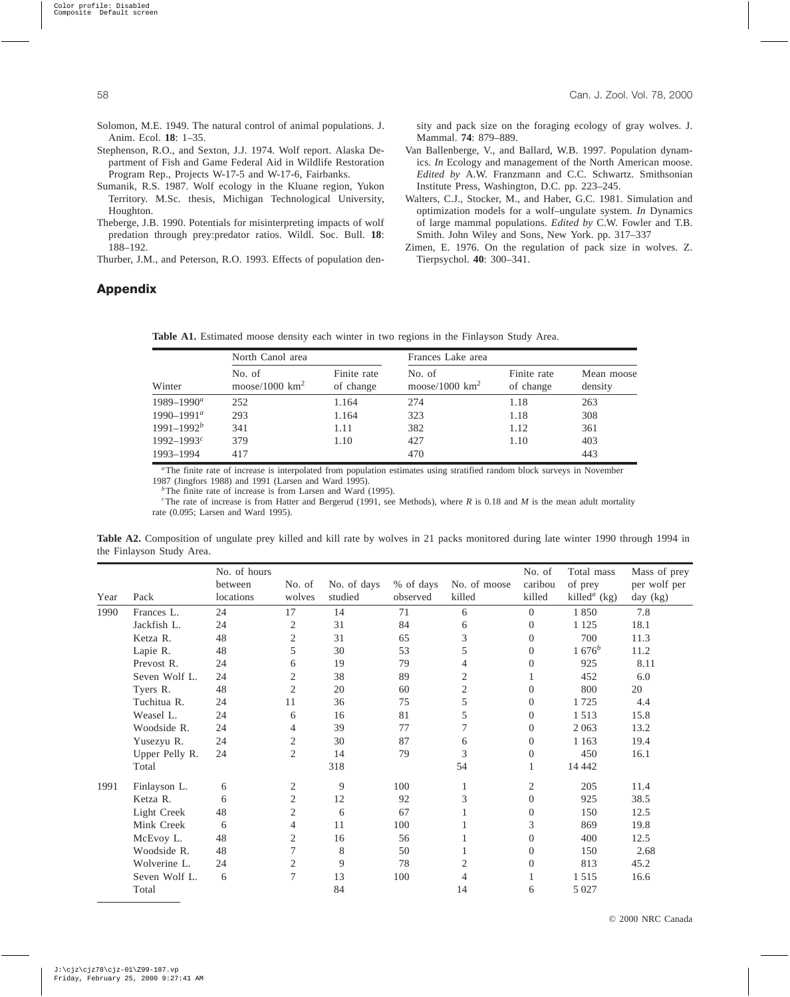- Solomon, M.E. 1949. The natural control of animal populations. J. Anim. Ecol. **18**: 1–35.
- Stephenson, R.O., and Sexton, J.J. 1974. Wolf report. Alaska Department of Fish and Game Federal Aid in Wildlife Restoration Program Rep., Projects W-17-5 and W-17-6, Fairbanks.
- Sumanik, R.S. 1987. Wolf ecology in the Kluane region, Yukon Territory. M.Sc. thesis, Michigan Technological University, Houghton.
- Theberge, J.B. 1990. Potentials for misinterpreting impacts of wolf predation through prey:predator ratios. Wildl. Soc. Bull. **18**: 188–192.

Thurber, J.M., and Peterson, R.O. 1993. Effects of population den-

sity and pack size on the foraging ecology of gray wolves. J. Mammal. **74**: 879–889.

Van Ballenberge, V., and Ballard, W.B. 1997. Population dynamics. *In* Ecology and management of the North American moose. *Edited by* A.W. Franzmann and C.C. Schwartz. Smithsonian Institute Press, Washington, D.C. pp. 223–245.

Walters, C.J., Stocker, M., and Haber, G.C. 1981. Simulation and optimization models for a wolf–ungulate system. *In* Dynamics of large mammal populations. *Edited by* C.W. Fowler and T.B. Smith. John Wiley and Sons, New York. pp. 317–337

Zimen, E. 1976. On the regulation of pack size in wolves. Z. Tierpsychol. **40**: 300–341.

# **Appendix**

**Table A1.** Estimated moose density each winter in two regions in the Finlayson Study Area.

|                 | North Canol area            |                          | Frances Lake area           |                          |                       |  |  |
|-----------------|-----------------------------|--------------------------|-----------------------------|--------------------------|-----------------------|--|--|
| Winter          | No. of<br>moose/1000 $km^2$ | Finite rate<br>of change | No. of<br>moose/1000 $km^2$ | Finite rate<br>of change | Mean moose<br>density |  |  |
| $1989 - 1990^a$ | 252                         | 1.164                    | 274                         | 1.18                     | 263                   |  |  |
| $1990 - 1991^a$ | 293                         | 1.164                    | 323                         | 1.18                     | 308                   |  |  |
| $1991 - 1992^b$ | 341                         | 1.11                     | 382                         | 1.12                     | 361                   |  |  |
| $1992 - 1993^c$ | 379                         | 1.10                     | 427                         | 1.10                     | 403                   |  |  |
| 1993-1994       | 417                         |                          | 470                         |                          | 443                   |  |  |

*<sup>a</sup>*The finite rate of increase is interpolated from population estimates using stratified random block surveys in November 1987 (Jingfors 1988) and 1991 (Larsen and Ward 1995).

<sup>*b*</sup>The finite rate of increase is from Larsen and Ward (1995).

*c* The rate of increase is from Hatter and Bergerud (1991, see Methods), where *R* is 0.18 and *M* is the mean adult mortality rate (0.095; Larsen and Ward 1995).

**Table A2.** Composition of ungulate prey killed and kill rate by wolves in 21 packs monitored during late winter 1990 through 1994 in the Finlayson Study Area.

|      |                | No. of hours |                |             |           |                  | No. of         | Total mass                      | Mass of prey |
|------|----------------|--------------|----------------|-------------|-----------|------------------|----------------|---------------------------------|--------------|
|      |                | between      | No. of         | No. of days | % of days | No. of moose     | caribou        | of prey                         | per wolf per |
| Year | Pack           | locations    | wolves         | studied     | observed  | killed           | killed         | killed <sup><i>a</i></sup> (kg) | day (kg)     |
| 1990 | Frances L.     | 24           | 17             | 14          | 71        | 6                | $\Omega$       | 1850                            | 7.8          |
|      | Jackfish L.    | 24           | $\overline{2}$ | 31          | 84        | 6                | $\Omega$       | 1 1 2 5                         | 18.1         |
|      | Ketza R.       | 48           | $\overline{2}$ | 31          | 65        | 3                | $\Omega$       | 700                             | 11.3         |
|      | Lapie R.       | 48           | 5              | 30          | 53        | 5                | $\Omega$       | $1676^b$                        | 11.2         |
|      | Prevost R.     | 24           | 6              | 19          | 79        | 4                | $\Omega$       | 925                             | 8.11         |
|      | Seven Wolf L.  | 24           | 2              | 38          | 89        | $\overline{2}$   |                | 452                             | 6.0          |
|      | Tyers R.       | 48           | $\overline{2}$ | 20          | 60        | $\mathbf{2}$     | $\theta$       | 800                             | 20           |
|      | Tuchitua R.    | 24           | 11             | 36          | 75        | 5                | $\Omega$       | 1725                            | 4.4          |
|      | Weasel L.      | 24           | 6              | 16          | 81        | 5                | $\Omega$       | 1513                            | 15.8         |
|      | Woodside R.    | 24           | 4              | 39          | 77        | $\boldsymbol{7}$ | $\Omega$       | 2 0 6 3                         | 13.2         |
|      | Yusezyu R.     | 24           | 2              | 30          | 87        | 6                | $\Omega$       | 1 1 6 3                         | 19.4         |
|      | Upper Pelly R. | 24           | $\overline{2}$ | 14          | 79        | 3                | $\Omega$       | 450                             | 16.1         |
|      | Total          |              |                | 318         |           | 54               |                | 14 4 42                         |              |
| 1991 | Finlayson L.   | 6            | 2              | 9           | 100       | 1                | 2              | 205                             | 11.4         |
|      | Ketza R.       | 6            | $\mathbf{2}$   | 12          | 92        | 3                | $\Omega$       | 925                             | 38.5         |
|      | Light Creek    | 48           | $\overline{2}$ | 6           | 67        | 1                | $\Omega$       | 150                             | 12.5         |
|      | Mink Creek     | 6            | $\overline{4}$ | 11          | 100       |                  | 3              | 869                             | 19.8         |
|      | McEvoy L.      | 48           | $\overline{c}$ | 16          | 56        |                  | $\Omega$       | 400                             | 12.5         |
|      | Woodside R.    | 48           | 7              | 8           | 50        | 1                | $\Omega$       | 150                             | 2.68         |
|      | Wolverine L.   | 24           | 2              | 9           | 78        | 2                | $\overline{0}$ | 813                             | 45.2         |
|      | Seven Wolf L.  | 6            | $\tau$         | 13          | 100       | 4                |                | 1515                            | 16.6         |
|      | Total          |              |                | 84          |           | 14               | 6              | 5 0 27                          |              |